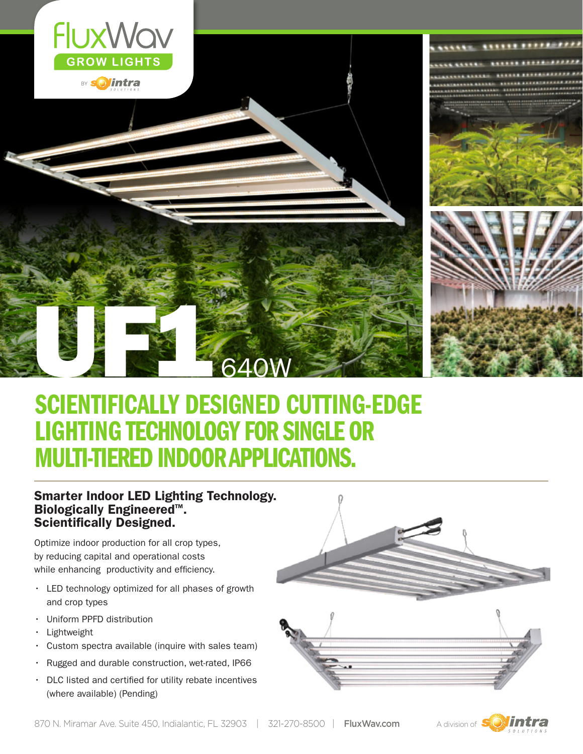

BY **Solintra** 

\*\*\*\*\*\* \*\*\**\*\*\*\*\*\** 



# SCIENTIFICALLY DESIGNED CUTTING-EDGE LIGHTING TECHNOLOGY FOR SINGLE OR MULTI-TIERED INDOOR APPLICATIONS. UFFER STATES

640W

### Smarter Indoor LED Lighting Technology. Biologically Engineered™.<br>Scientifically Designed.

Optimize indoor production for all crop types, by reducing capital and operational costs while enhancing productivity and efficiency.

- • LED technology optimized for all phases of growth and crop types
- • Uniform PPFD distribution
- **Lightweight**
- • Custom spectra available (inquire with sales team)
- • Rugged and durable construction, wet-rated, IP66
- DLC listed and certified for utility rebate incentives (where available) (Pending)